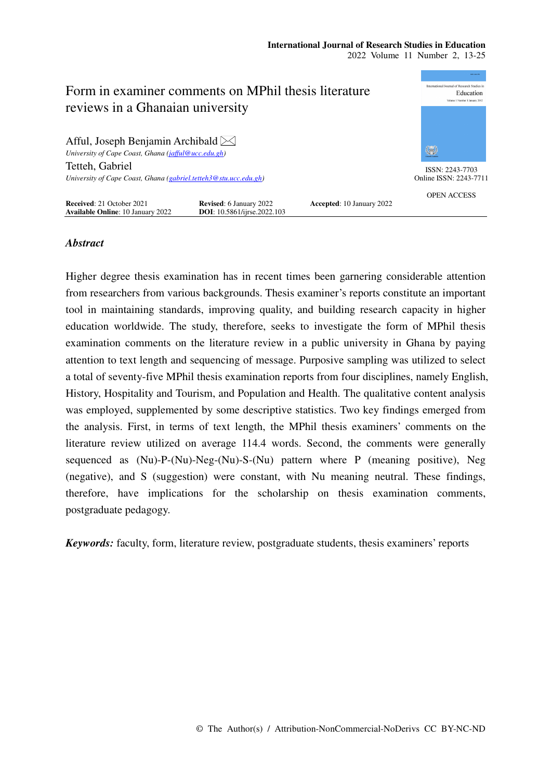| Form in examiner comments on MPhil thesis literature<br>reviews in a Ghanaian university            | 00012345176<br>nternational Journal of Research Studies in<br>Education<br>Volume 1 Number 1 January 2012 |                           |                    |
|-----------------------------------------------------------------------------------------------------|-----------------------------------------------------------------------------------------------------------|---------------------------|--------------------|
| Afful, Joseph Benjamin Archibald $\boxtimes$<br>University of Cape Coast, Ghana (jafful@ucc.edu.gh) |                                                                                                           |                           | 徽                  |
| Tetteh, Gabriel                                                                                     |                                                                                                           |                           | ISSN: 2243-7703    |
| University of Cape Coast, Ghana (gabriel.tetteh3@stu.ucc.edu.gh)                                    | Online ISSN: 2243-7711                                                                                    |                           |                    |
| Received: 21 October 2021<br><b>Available Online: 10 January 2022</b>                               | <b>Revised:</b> 6 January 2022<br><b>DOI</b> : 10.5861/iirse.2022.103                                     | Accepted: 10 January 2022 | <b>OPEN ACCESS</b> |

# *Abstract*

Higher degree thesis examination has in recent times been garnering considerable attention from researchers from various backgrounds. Thesis examiner's reports constitute an important tool in maintaining standards, improving quality, and building research capacity in higher education worldwide. The study, therefore, seeks to investigate the form of MPhil thesis examination comments on the literature review in a public university in Ghana by paying attention to text length and sequencing of message. Purposive sampling was utilized to select a total of seventy-five MPhil thesis examination reports from four disciplines, namely English, History, Hospitality and Tourism, and Population and Health. The qualitative content analysis was employed, supplemented by some descriptive statistics. Two key findings emerged from the analysis. First, in terms of text length, the MPhil thesis examiners' comments on the literature review utilized on average 114.4 words. Second, the comments were generally sequenced as (Nu)-P-(Nu)-Neg-(Nu)-S-(Nu) pattern where P (meaning positive), Neg (negative), and S (suggestion) were constant, with Nu meaning neutral. These findings, therefore, have implications for the scholarship on thesis examination comments, postgraduate pedagogy.

*Keywords:* faculty, form, literature review, postgraduate students, thesis examiners' reports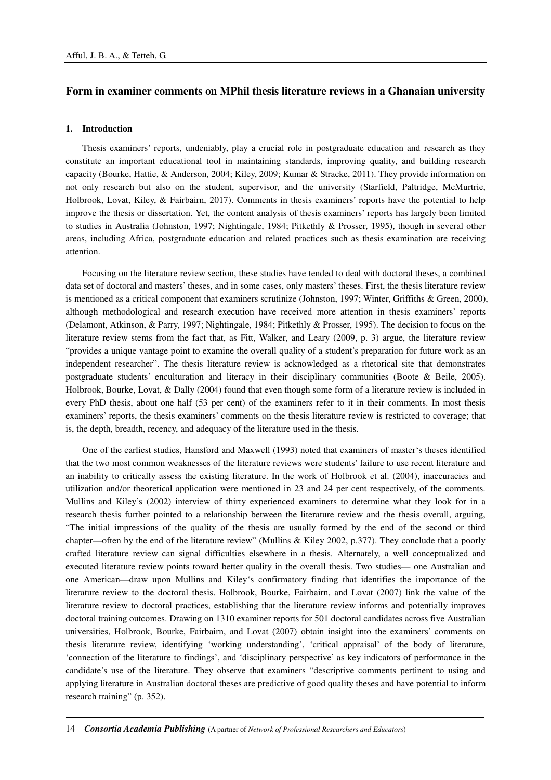# **Form in examiner comments on MPhil thesis literature reviews in a Ghanaian university**

# **1. Introduction**

Thesis examiners' reports, undeniably, play a crucial role in postgraduate education and research as they constitute an important educational tool in maintaining standards, improving quality, and building research capacity (Bourke, Hattie, & Anderson, 2004; Kiley, 2009; Kumar & Stracke, 2011). They provide information on not only research but also on the student, supervisor, and the university (Starfield, Paltridge, McMurtrie, Holbrook, Lovat, Kiley, & Fairbairn, 2017). Comments in thesis examiners' reports have the potential to help improve the thesis or dissertation. Yet, the content analysis of thesis examiners' reports has largely been limited to studies in Australia (Johnston, 1997; Nightingale, 1984; Pitkethly & Prosser, 1995), though in several other areas, including Africa, postgraduate education and related practices such as thesis examination are receiving attention.

Focusing on the literature review section, these studies have tended to deal with doctoral theses, a combined data set of doctoral and masters' theses, and in some cases, only masters' theses. First, the thesis literature review is mentioned as a critical component that examiners scrutinize (Johnston, 1997; Winter, Griffiths & Green, 2000), although methodological and research execution have received more attention in thesis examiners' reports (Delamont, Atkinson, & Parry, 1997; Nightingale, 1984; Pitkethly & Prosser, 1995). The decision to focus on the literature review stems from the fact that, as Fitt, Walker, and Leary (2009, p. 3) argue, the literature review "provides a unique vantage point to examine the overall quality of a student's preparation for future work as an independent researcher". The thesis literature review is acknowledged as a rhetorical site that demonstrates postgraduate students' enculturation and literacy in their disciplinary communities (Boote & Beile, 2005). Holbrook, Bourke, Lovat, & Dally (2004) found that even though some form of a literature review is included in every PhD thesis, about one half (53 per cent) of the examiners refer to it in their comments. In most thesis examiners' reports, the thesis examiners' comments on the thesis literature review is restricted to coverage; that is, the depth, breadth, recency, and adequacy of the literature used in the thesis.

One of the earliest studies, Hansford and Maxwell (1993) noted that examiners of master's theses identified that the two most common weaknesses of the literature reviews were students' failure to use recent literature and an inability to critically assess the existing literature. In the work of Holbrook et al. (2004), inaccuracies and utilization and/or theoretical application were mentioned in 23 and 24 per cent respectively, of the comments. Mullins and Kiley's (2002) interview of thirty experienced examiners to determine what they look for in a research thesis further pointed to a relationship between the literature review and the thesis overall, arguing, "The initial impressions of the quality of the thesis are usually formed by the end of the second or third chapter—often by the end of the literature review" (Mullins & Kiley 2002, p.377). They conclude that a poorly crafted literature review can signal difficulties elsewhere in a thesis. Alternately, a well conceptualized and executed literature review points toward better quality in the overall thesis. Two studies— one Australian and one American—draw upon Mullins and Kiley's confirmatory finding that identifies the importance of the literature review to the doctoral thesis. Holbrook, Bourke, Fairbairn, and Lovat (2007) link the value of the literature review to doctoral practices, establishing that the literature review informs and potentially improves doctoral training outcomes. Drawing on 1310 examiner reports for 501 doctoral candidates across five Australian universities, Holbrook, Bourke, Fairbairn, and Lovat (2007) obtain insight into the examiners' comments on thesis literature review, identifying 'working understanding', 'critical appraisal' of the body of literature, 'connection of the literature to findings', and 'disciplinary perspective' as key indicators of performance in the candidate's use of the literature. They observe that examiners "descriptive comments pertinent to using and applying literature in Australian doctoral theses are predictive of good quality theses and have potential to inform research training" (p. 352).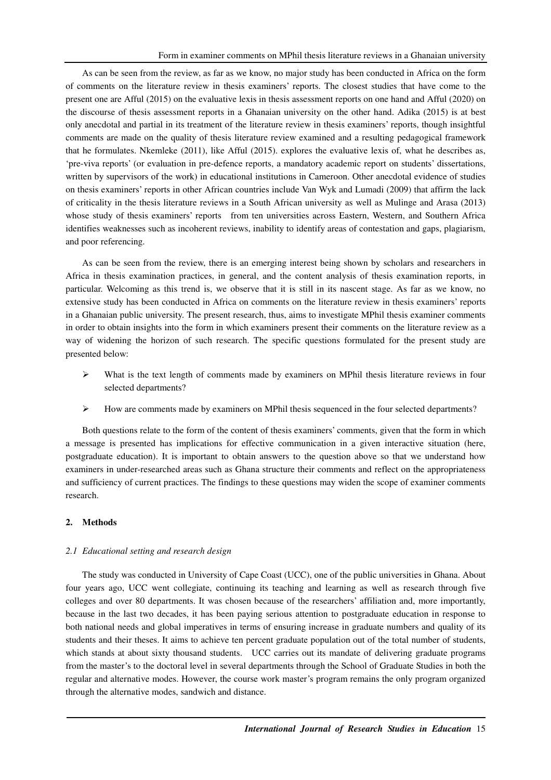As can be seen from the review, as far as we know, no major study has been conducted in Africa on the form of comments on the literature review in thesis examiners' reports. The closest studies that have come to the present one are Afful (2015) on the evaluative lexis in thesis assessment reports on one hand and Afful (2020) on the discourse of thesis assessment reports in a Ghanaian university on the other hand. Adika (2015) is at best only anecdotal and partial in its treatment of the literature review in thesis examiners' reports, though insightful comments are made on the quality of thesis literature review examined and a resulting pedagogical framework that he formulates. Nkemleke (2011), like Afful (2015). explores the evaluative lexis of, what he describes as, 'pre-viva reports' (or evaluation in pre-defence reports, a mandatory academic report on students' dissertations, written by supervisors of the work) in educational institutions in Cameroon. Other anecdotal evidence of studies on thesis examiners' reports in other African countries include Van Wyk and Lumadi (2009) that affirm the lack of criticality in the thesis literature reviews in a South African university as well as Mulinge and Arasa (2013) whose study of thesis examiners' reports from ten universities across Eastern, Western, and Southern Africa identifies weaknesses such as incoherent reviews, inability to identify areas of contestation and gaps, plagiarism, and poor referencing.

As can be seen from the review, there is an emerging interest being shown by scholars and researchers in Africa in thesis examination practices, in general, and the content analysis of thesis examination reports, in particular. Welcoming as this trend is, we observe that it is still in its nascent stage. As far as we know, no extensive study has been conducted in Africa on comments on the literature review in thesis examiners' reports in a Ghanaian public university. The present research, thus, aims to investigate MPhil thesis examiner comments in order to obtain insights into the form in which examiners present their comments on the literature review as a way of widening the horizon of such research. The specific questions formulated for the present study are presented below:

- $\triangleright$  What is the text length of comments made by examiners on MPhil thesis literature reviews in four selected departments?
- $\triangleright$  How are comments made by examiners on MPhil thesis sequenced in the four selected departments?

Both questions relate to the form of the content of thesis examiners' comments, given that the form in which a message is presented has implications for effective communication in a given interactive situation (here, postgraduate education). It is important to obtain answers to the question above so that we understand how examiners in under-researched areas such as Ghana structure their comments and reflect on the appropriateness and sufficiency of current practices. The findings to these questions may widen the scope of examiner comments research.

#### **2. Methods**

#### *2.1 Educational setting and research design*

The study was conducted in University of Cape Coast (UCC), one of the public universities in Ghana. About four years ago, UCC went collegiate, continuing its teaching and learning as well as research through five colleges and over 80 departments. It was chosen because of the researchers' affiliation and, more importantly, because in the last two decades, it has been paying serious attention to postgraduate education in response to both national needs and global imperatives in terms of ensuring increase in graduate numbers and quality of its students and their theses. It aims to achieve ten percent graduate population out of the total number of students, which stands at about sixty thousand students. UCC carries out its mandate of delivering graduate programs from the master's to the doctoral level in several departments through the School of Graduate Studies in both the regular and alternative modes. However, the course work master's program remains the only program organized through the alternative modes, sandwich and distance.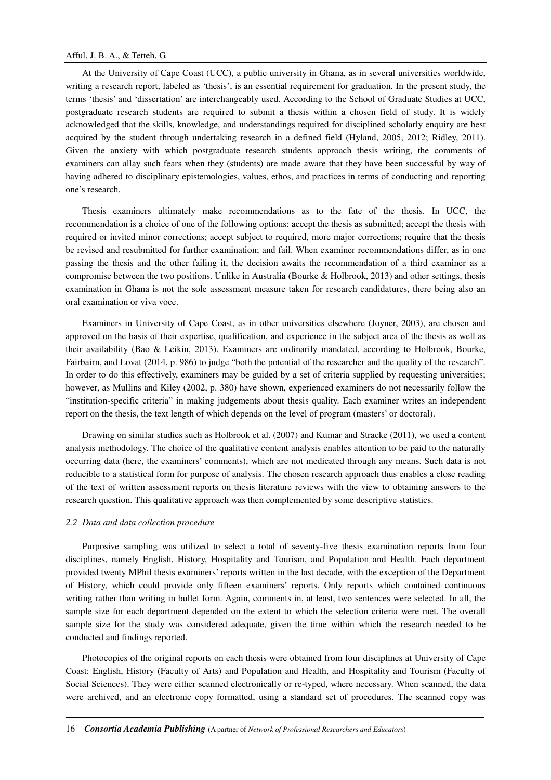At the University of Cape Coast (UCC), a public university in Ghana, as in several universities worldwide, writing a research report, labeled as 'thesis', is an essential requirement for graduation. In the present study, the terms 'thesis' and 'dissertation' are interchangeably used. According to the School of Graduate Studies at UCC, postgraduate research students are required to submit a thesis within a chosen field of study. It is widely acknowledged that the skills, knowledge, and understandings required for disciplined scholarly enquiry are best acquired by the student through undertaking research in a defined field (Hyland, 2005, 2012; Ridley, 2011). Given the anxiety with which postgraduate research students approach thesis writing, the comments of examiners can allay such fears when they (students) are made aware that they have been successful by way of having adhered to disciplinary epistemologies, values, ethos, and practices in terms of conducting and reporting one's research.

Thesis examiners ultimately make recommendations as to the fate of the thesis. In UCC, the recommendation is a choice of one of the following options: accept the thesis as submitted; accept the thesis with required or invited minor corrections; accept subject to required, more major corrections; require that the thesis be revised and resubmitted for further examination; and fail. When examiner recommendations differ, as in one passing the thesis and the other failing it, the decision awaits the recommendation of a third examiner as a compromise between the two positions. Unlike in Australia (Bourke & Holbrook, 2013) and other settings, thesis examination in Ghana is not the sole assessment measure taken for research candidatures, there being also an oral examination or viva voce.

Examiners in University of Cape Coast, as in other universities elsewhere (Joyner, 2003), are chosen and approved on the basis of their expertise, qualification, and experience in the subject area of the thesis as well as their availability (Bao & Leikin, 2013). Examiners are ordinarily mandated, according to Holbrook, Bourke, Fairbairn, and Lovat (2014, p. 986) to judge "both the potential of the researcher and the quality of the research". In order to do this effectively, examiners may be guided by a set of criteria supplied by requesting universities; however, as Mullins and Kiley (2002, p. 380) have shown, experienced examiners do not necessarily follow the "institution-specific criteria" in making judgements about thesis quality. Each examiner writes an independent report on the thesis, the text length of which depends on the level of program (masters' or doctoral).

Drawing on similar studies such as Holbrook et al. (2007) and Kumar and Stracke (2011), we used a content analysis methodology. The choice of the qualitative content analysis enables attention to be paid to the naturally occurring data (here, the examiners' comments), which are not medicated through any means. Such data is not reducible to a statistical form for purpose of analysis. The chosen research approach thus enables a close reading of the text of written assessment reports on thesis literature reviews with the view to obtaining answers to the research question. This qualitative approach was then complemented by some descriptive statistics.

## *2.2 Data and data collection procedure*

Purposive sampling was utilized to select a total of seventy-five thesis examination reports from four disciplines, namely English, History, Hospitality and Tourism, and Population and Health. Each department provided twenty MPhil thesis examiners' reports written in the last decade, with the exception of the Department of History, which could provide only fifteen examiners' reports. Only reports which contained continuous writing rather than writing in bullet form. Again, comments in, at least, two sentences were selected. In all, the sample size for each department depended on the extent to which the selection criteria were met. The overall sample size for the study was considered adequate, given the time within which the research needed to be conducted and findings reported.

Photocopies of the original reports on each thesis were obtained from four disciplines at University of Cape Coast: English, History (Faculty of Arts) and Population and Health, and Hospitality and Tourism (Faculty of Social Sciences). They were either scanned electronically or re-typed, where necessary. When scanned, the data were archived, and an electronic copy formatted, using a standard set of procedures. The scanned copy was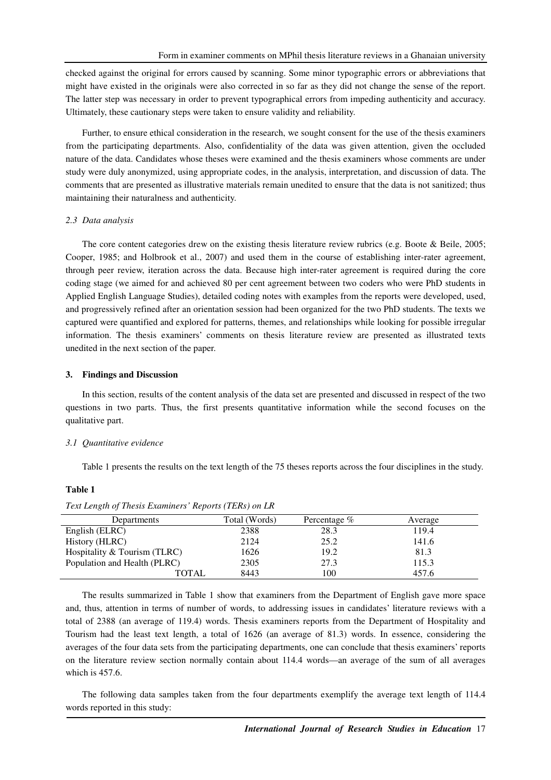checked against the original for errors caused by scanning. Some minor typographic errors or abbreviations that might have existed in the originals were also corrected in so far as they did not change the sense of the report. The latter step was necessary in order to prevent typographical errors from impeding authenticity and accuracy. Ultimately, these cautionary steps were taken to ensure validity and reliability.

Further, to ensure ethical consideration in the research, we sought consent for the use of the thesis examiners from the participating departments. Also, confidentiality of the data was given attention, given the occluded nature of the data. Candidates whose theses were examined and the thesis examiners whose comments are under study were duly anonymized, using appropriate codes, in the analysis, interpretation, and discussion of data. The comments that are presented as illustrative materials remain unedited to ensure that the data is not sanitized; thus maintaining their naturalness and authenticity.

### *2.3 Data analysis*

The core content categories drew on the existing thesis literature review rubrics (e.g. Boote & Beile, 2005; Cooper, 1985; and Holbrook et al., 2007) and used them in the course of establishing inter-rater agreement, through peer review, iteration across the data. Because high inter-rater agreement is required during the core coding stage (we aimed for and achieved 80 per cent agreement between two coders who were PhD students in Applied English Language Studies), detailed coding notes with examples from the reports were developed, used, and progressively refined after an orientation session had been organized for the two PhD students. The texts we captured were quantified and explored for patterns, themes, and relationships while looking for possible irregular information. The thesis examiners' comments on thesis literature review are presented as illustrated texts unedited in the next section of the paper.

#### **3. Findings and Discussion**

In this section, results of the content analysis of the data set are presented and discussed in respect of the two questions in two parts. Thus, the first presents quantitative information while the second focuses on the qualitative part.

#### *3.1 Quantitative evidence*

Table 1 presents the results on the text length of the 75 theses reports across the four disciplines in the study.

## **Table 1**

| Departments                  | Total (Words) | Percentage $%$ | Average |
|------------------------------|---------------|----------------|---------|
| English (ELRC)               | 2388          | 28.3           | 119.4   |
| History (HLRC)               | 2124          | 25.2           | 141.6   |
| Hospitality & Tourism (TLRC) | 1626          | 19.2           | 81.3    |
| Population and Health (PLRC) | 2305          | 27.3           | 115.3   |
| TOTAL                        | 8443          | 100            | 457.6   |

*Text Length of Thesis Examiners' Reports (TERs) on LR* 

The results summarized in Table 1 show that examiners from the Department of English gave more space and, thus, attention in terms of number of words, to addressing issues in candidates' literature reviews with a total of 2388 (an average of 119.4) words. Thesis examiners reports from the Department of Hospitality and Tourism had the least text length, a total of 1626 (an average of 81.3) words. In essence, considering the averages of the four data sets from the participating departments, one can conclude that thesis examiners' reports on the literature review section normally contain about 114.4 words—an average of the sum of all averages which is 457.6.

The following data samples taken from the four departments exemplify the average text length of 114.4 words reported in this study: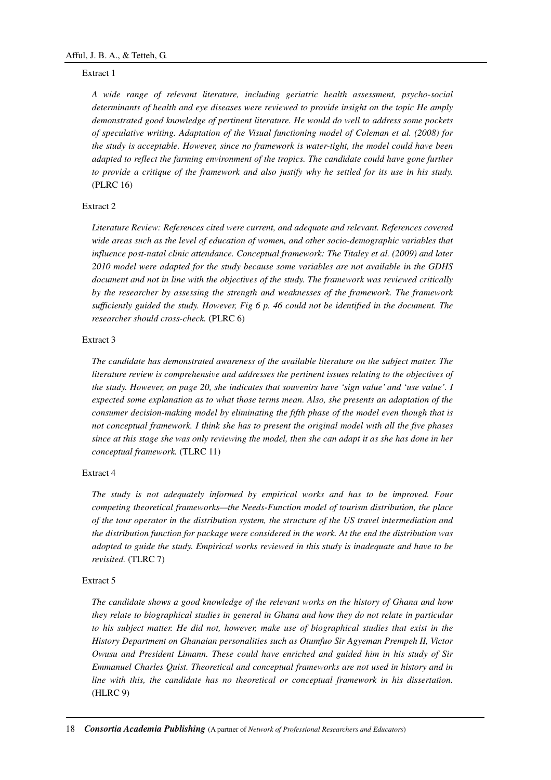# Extract 1

*A wide range of relevant literature, including geriatric health assessment, psycho-social determinants of health and eye diseases were reviewed to provide insight on the topic He amply demonstrated good knowledge of pertinent literature. He would do well to address some pockets of speculative writing. Adaptation of the Visual functioning model of Coleman et al. (2008) for the study is acceptable. However, since no framework is water-tight, the model could have been adapted to reflect the farming environment of the tropics. The candidate could have gone further to provide a critique of the framework and also justify why he settled for its use in his study.*  (PLRC 16)

# Extract 2

*Literature Review: References cited were current, and adequate and relevant. References covered wide areas such as the level of education of women, and other socio-demographic variables that influence post-natal clinic attendance. Conceptual framework: The Titaley et al. (2009) and later 2010 model were adapted for the study because some variables are not available in the GDHS document and not in line with the objectives of the study. The framework was reviewed critically by the researcher by assessing the strength and weaknesses of the framework. The framework sufficiently guided the study. However, Fig 6 p. 46 could not be identified in the document. The researcher should cross-check.* (PLRC 6)

## Extract 3

*The candidate has demonstrated awareness of the available literature on the subject matter. The literature review is comprehensive and addresses the pertinent issues relating to the objectives of the study. However, on page 20, she indicates that souvenirs have 'sign value' and 'use value'. I expected some explanation as to what those terms mean. Also, she presents an adaptation of the consumer decision-making model by eliminating the fifth phase of the model even though that is not conceptual framework. I think she has to present the original model with all the five phases since at this stage she was only reviewing the model, then she can adapt it as she has done in her conceptual framework.* (TLRC 11)

# Extract 4

*The study is not adequately informed by empirical works and has to be improved. Four competing theoretical frameworks—the Needs-Function model of tourism distribution, the place of the tour operator in the distribution system, the structure of the US travel intermediation and the distribution function for package were considered in the work. At the end the distribution was adopted to guide the study. Empirical works reviewed in this study is inadequate and have to be revisited.* (TLRC 7)

# Extract 5

*The candidate shows a good knowledge of the relevant works on the history of Ghana and how they relate to biographical studies in general in Ghana and how they do not relate in particular to his subject matter. He did not, however, make use of biographical studies that exist in the History Department on Ghanaian personalities such as Otumfuo Sir Agyeman Prempeh II, Victor Owusu and President Limann. These could have enriched and guided him in his study of Sir Emmanuel Charles Quist. Theoretical and conceptual frameworks are not used in history and in line with this, the candidate has no theoretical or conceptual framework in his dissertation.*  (HLRC 9)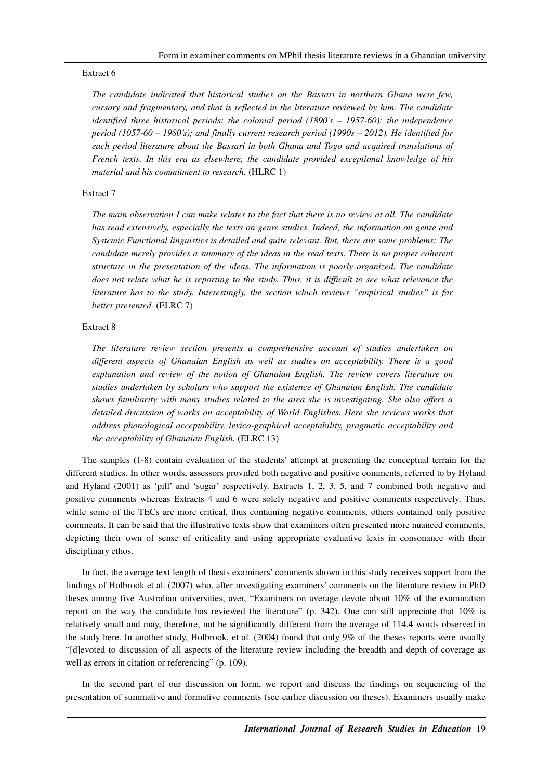#### Extract 6

*The candidate indicated that historical studies on the Bassari in northern Ghana were few, cursory and fragmentary, and that is reflected in the literature reviewed by him. The candidate identified three historical periods: the colonial period (1890's – 1957-60); the independence period (1057-60 – 1980's); and finally current research period (1990s – 2012). He identified for each period literature about the Bassari in both Ghana and Togo and acquired translations of French texts. In this era as elsewhere, the candidate provided exceptional knowledge of his material and his commitment to research.* (HLRC 1)

## Extract 7

*The main observation I can make relates to the fact that there is no review at all. The candidate has read extensively, especially the texts on genre studies. Indeed, the information on genre and Systemic Functional linguistics is detailed and quite relevant. But, there are some problems: The candidate merely provides a summary of the ideas in the read texts. There is no proper coherent structure in the presentation of the ideas. The information is poorly organized. The candidate does not relate what he is reporting to the study. Thus, it is difficult to see what relevance the literature has to the study. Interestingly, the section which reviews "empirical studies" is far better presented.* (ELRC 7)

## Extract 8

*The literature review section presents a comprehensive account of studies undertaken on different aspects of Ghanaian English as well as studies on acceptability. There is a good explanation and review of the notion of Ghanaian English. The review covers literature on studies undertaken by scholars who support the existence of Ghanaian English. The candidate shows familiarity with many studies related to the area she is investigating. She also offers a detailed discussion of works on acceptability of World Englishes. Here she reviews works that address phonological acceptability, lexico-graphical acceptability, pragmatic acceptability and the acceptability of Ghanaian English.* (ELRC 13)

The samples (1-8) contain evaluation of the students' attempt at presenting the conceptual terrain for the different studies. In other words, assessors provided both negative and positive comments, referred to by Hyland and Hyland (2001) as 'pill' and 'sugar' respectively. Extracts 1, 2, 3. 5, and 7 combined both negative and positive comments whereas Extracts 4 and 6 were solely negative and positive comments respectively. Thus, while some of the TECs are more critical, thus containing negative comments, others contained only positive comments. It can be said that the illustrative texts show that examiners often presented more nuanced comments, depicting their own of sense of criticality and using appropriate evaluative lexis in consonance with their disciplinary ethos.

In fact, the average text length of thesis examiners' comments shown in this study receives support from the findings of Holbrook et al. (2007) who, after investigating examiners' comments on the literature review in PhD theses among five Australian universities, aver, "Examiners on average devote about 10% of the examination report on the way the candidate has reviewed the literature" (p. 342). One can still appreciate that 10% is relatively small and may, therefore, not be significantly different from the average of 114.4 words observed in the study here. In another study, Holbrook, et al. (2004) found that only 9% of the theses reports were usually "[d]evoted to discussion of all aspects of the literature review including the breadth and depth of coverage as well as errors in citation or referencing" (p. 109).

In the second part of our discussion on form, we report and discuss the findings on sequencing of the presentation of summative and formative comments (see earlier discussion on theses). Examiners usually make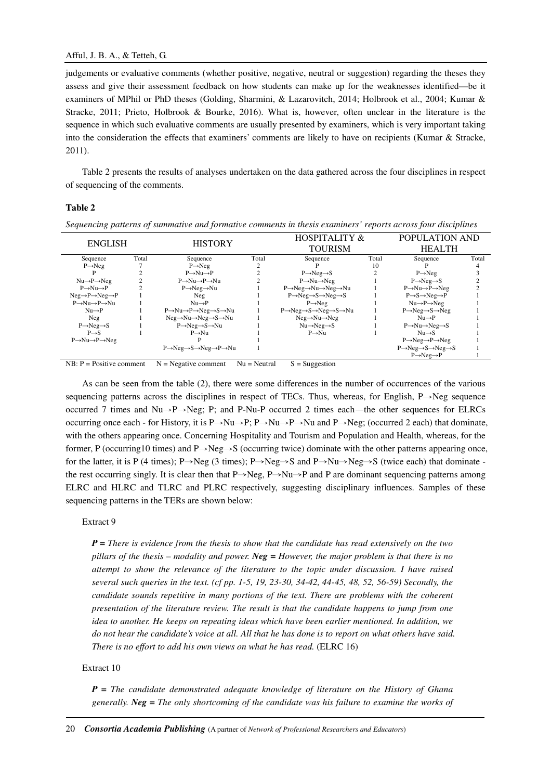judgements or evaluative comments (whether positive, negative, neutral or suggestion) regarding the theses they assess and give their assessment feedback on how students can make up for the weaknesses identified—be it examiners of MPhil or PhD theses (Golding, Sharmini, & Lazarovitch, 2014; Holbrook et al., 2004; Kumar & Stracke, 2011; Prieto, Holbrook & Bourke, 2016). What is, however, often unclear in the literature is the sequence in which such evaluative comments are usually presented by examiners, which is very important taking into the consideration the effects that examiners' comments are likely to have on recipients (Kumar & Stracke, 2011).

Table 2 presents the results of analyses undertaken on the data gathered across the four disciplines in respect of sequencing of the comments.

# **Table 2**

| Sequencing patterns of summative and formative comments in thesis examiners' reports across four disciplines |       |                                                                   |                                            |                                                                                |                |                                                                 |       |  |  |
|--------------------------------------------------------------------------------------------------------------|-------|-------------------------------------------------------------------|--------------------------------------------|--------------------------------------------------------------------------------|----------------|-----------------------------------------------------------------|-------|--|--|
| <b>ENGLISH</b><br><b>HISTORY</b>                                                                             |       |                                                                   | <b>HOSPITALITY &amp;</b><br><b>TOURISM</b> |                                                                                | POPULATION AND |                                                                 |       |  |  |
|                                                                                                              |       |                                                                   |                                            |                                                                                | <b>HEALTH</b>  |                                                                 |       |  |  |
| Sequence                                                                                                     | Total | Sequence                                                          | Total                                      | Sequence                                                                       | Total          | Sequence                                                        | Total |  |  |
| $P \rightarrow Neq$                                                                                          |       | $P \rightarrow Neq$                                               |                                            |                                                                                | 10             |                                                                 |       |  |  |
|                                                                                                              |       | $P \rightarrow Nu \rightarrow P$                                  |                                            | $P \rightarrow Neg \rightarrow S$                                              |                | $P \rightarrow Neg$                                             |       |  |  |
| $Nu \rightarrow P \rightarrow Neg$                                                                           |       | $P \rightarrow Nu \rightarrow P \rightarrow Nu$                   |                                            | $P \rightarrow Nu \rightarrow Neg$                                             |                | $P \rightarrow Neq \rightarrow S$                               |       |  |  |
| $P \rightarrow Nu \rightarrow P$                                                                             |       | $P \rightarrow Neq \rightarrow Nu$                                |                                            | P→Neg→Nu→Neg→Nu                                                                |                | $P \rightarrow Nu \rightarrow P \rightarrow Neg$                |       |  |  |
| $Neq \rightarrow P \rightarrow Neq \rightarrow P$                                                            |       | Neg                                                               |                                            | $P \rightarrow Neq \rightarrow S \rightarrow Neq \rightarrow S$                |                | $P \rightarrow S \rightarrow Neg \rightarrow P$                 |       |  |  |
| $P \rightarrow Nu \rightarrow P \rightarrow Nu$                                                              |       | $Nu \rightarrow P$                                                |                                            | $P \rightarrow Neq$                                                            |                | $Nu \rightarrow P \rightarrow Neg$                              |       |  |  |
| $Nu \rightarrow P$                                                                                           |       | P→Nu→P→Neg→S→Nu                                                   |                                            | $P \rightarrow Neq \rightarrow S \rightarrow Neq \rightarrow S \rightarrow Nu$ |                | $P \rightarrow Neq \rightarrow S \rightarrow Neq$               |       |  |  |
| Neg                                                                                                          |       | $Neq \rightarrow Nu \rightarrow Neq \rightarrow S \rightarrow Nu$ |                                            | $Neq \rightarrow Nu \rightarrow Neq$                                           |                | $Nu \rightarrow P$                                              |       |  |  |
| $P \rightarrow Neq \rightarrow S$                                                                            |       | $P \rightarrow Neq \rightarrow S \rightarrow Nu$                  |                                            | $Nu \rightarrow Neg \rightarrow S$                                             |                | $P \rightarrow Nu \rightarrow Neg \rightarrow S$                |       |  |  |
| $P \rightarrow S$                                                                                            |       | $P \rightarrow Nu$                                                |                                            | $P \rightarrow Nu$                                                             |                | $Nu \rightarrow S$                                              |       |  |  |
| $P \rightarrow Nu \rightarrow P \rightarrow Neg$                                                             |       |                                                                   |                                            |                                                                                |                | $P \rightarrow Neg \rightarrow P \rightarrow Neg$               |       |  |  |
|                                                                                                              |       | P→Neg→S→Neg→P→Nu                                                  |                                            |                                                                                |                | $P \rightarrow Neq \rightarrow S \rightarrow Neq \rightarrow S$ |       |  |  |

 $\overrightarrow{P} \rightarrow \text{Neg} \rightarrow \overrightarrow{P}$  1 NB:  $P = Positive comment$   $N = Negative comment$   $Nu = Neutral$   $S = Suggestion$ 

As can be seen from the table (2), there were some differences in the number of occurrences of the various sequencing patterns across the disciplines in respect of TECs. Thus, whereas, for English, P→Neg sequence occurred 7 times and Nu→P→Neg; P; and P-Nu-P occurred 2 times each—the other sequences for ELRCs occurring once each - for History, it is P $\rightarrow$ Nu $\rightarrow$ P; P $\rightarrow$ Nu $\rightarrow$ P $\rightarrow$ Nu and P $\rightarrow$ Neg; (occurred 2 each) that dominate, with the others appearing once. Concerning Hospitality and Tourism and Population and Health, whereas, for the former, P (occurring10 times) and P→Neg→S (occurring twice) dominate with the other patterns appearing once, for the latter, it is P (4 times); P→Neg (3 times); P→Neg→S and P→Nu→Neg→S (twice each) that dominate the rest occurring singly. It is clear then that P→Neg, P→Nu→P and P are dominant sequencing patterns among ELRC and HLRC and TLRC and PLRC respectively, suggesting disciplinary influences. Samples of these sequencing patterns in the TERs are shown below:

## Extract 9

*P = There is evidence from the thesis to show that the candidate has read extensively on the two pillars of the thesis – modality and power. Neg = However, the major problem is that there is no attempt to show the relevance of the literature to the topic under discussion. I have raised several such queries in the text. (cf pp. 1-5, 19, 23-30, 34-42, 44-45, 48, 52, 56-59) Secondly, the candidate sounds repetitive in many portions of the text. There are problems with the coherent presentation of the literature review. The result is that the candidate happens to jump from one idea to another. He keeps on repeating ideas which have been earlier mentioned. In addition, we do not hear the candidate's voice at all. All that he has done is to report on what others have said. There is no effort to add his own views on what he has read.* (ELRC 16)

## Extract 10

*P = The candidate demonstrated adequate knowledge of literature on the History of Ghana generally. Neg = The only shortcoming of the candidate was his failure to examine the works of*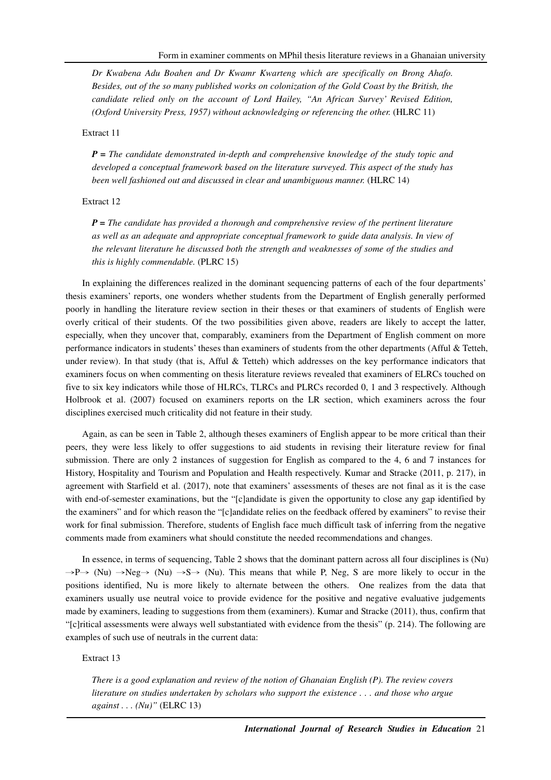*Dr Kwabena Adu Boahen and Dr Kwamr Kwarteng which are specifically on Brong Ahafo. Besides, out of the so many published works on colonization of the Gold Coast by the British, the candidate relied only on the account of Lord Hailey, "An African Survey' Revised Edition, (Oxford University Press, 1957) without acknowledging or referencing the other.* (HLRC 11)

#### Extract 11

*P = The candidate demonstrated in-depth and comprehensive knowledge of the study topic and developed a conceptual framework based on the literature surveyed. This aspect of the study has been well fashioned out and discussed in clear and unambiguous manner.* (HLRC 14)

### Extract 12

*P = The candidate has provided a thorough and comprehensive review of the pertinent literature as well as an adequate and appropriate conceptual framework to guide data analysis. In view of the relevant literature he discussed both the strength and weaknesses of some of the studies and this is highly commendable.* (PLRC 15)

In explaining the differences realized in the dominant sequencing patterns of each of the four departments' thesis examiners' reports, one wonders whether students from the Department of English generally performed poorly in handling the literature review section in their theses or that examiners of students of English were overly critical of their students. Of the two possibilities given above, readers are likely to accept the latter, especially, when they uncover that, comparably, examiners from the Department of English comment on more performance indicators in students' theses than examiners of students from the other departments (Afful & Tetteh, under review). In that study (that is, Afful & Tetteh) which addresses on the key performance indicators that examiners focus on when commenting on thesis literature reviews revealed that examiners of ELRCs touched on five to six key indicators while those of HLRCs, TLRCs and PLRCs recorded 0, 1 and 3 respectively. Although Holbrook et al. (2007) focused on examiners reports on the LR section, which examiners across the four disciplines exercised much criticality did not feature in their study.

Again, as can be seen in Table 2, although theses examiners of English appear to be more critical than their peers, they were less likely to offer suggestions to aid students in revising their literature review for final submission. There are only 2 instances of suggestion for English as compared to the 4, 6 and 7 instances for History, Hospitality and Tourism and Population and Health respectively. Kumar and Stracke (2011, p. 217), in agreement with Starfield et al. (2017), note that examiners' assessments of theses are not final as it is the case with end-of-semester examinations, but the "[c]andidate is given the opportunity to close any gap identified by the examiners" and for which reason the "[c]andidate relies on the feedback offered by examiners" to revise their work for final submission. Therefore, students of English face much difficult task of inferring from the negative comments made from examiners what should constitute the needed recommendations and changes.

In essence, in terms of sequencing, Table 2 shows that the dominant pattern across all four disciplines is (Nu)  $\rightarrow P \rightarrow$  (Nu)  $\rightarrow$  Neg $\rightarrow$  (Nu)  $\rightarrow$  S $\rightarrow$  (Nu). This means that while P, Neg, S are more likely to occur in the positions identified, Nu is more likely to alternate between the others. One realizes from the data that examiners usually use neutral voice to provide evidence for the positive and negative evaluative judgements made by examiners, leading to suggestions from them (examiners). Kumar and Stracke (2011), thus, confirm that "[c]ritical assessments were always well substantiated with evidence from the thesis" (p. 214). The following are examples of such use of neutrals in the current data:

#### Extract 13

*There is a good explanation and review of the notion of Ghanaian English (P). The review covers literature on studies undertaken by scholars who support the existence . . . and those who argue against . . . (Nu)"* (ELRC 13)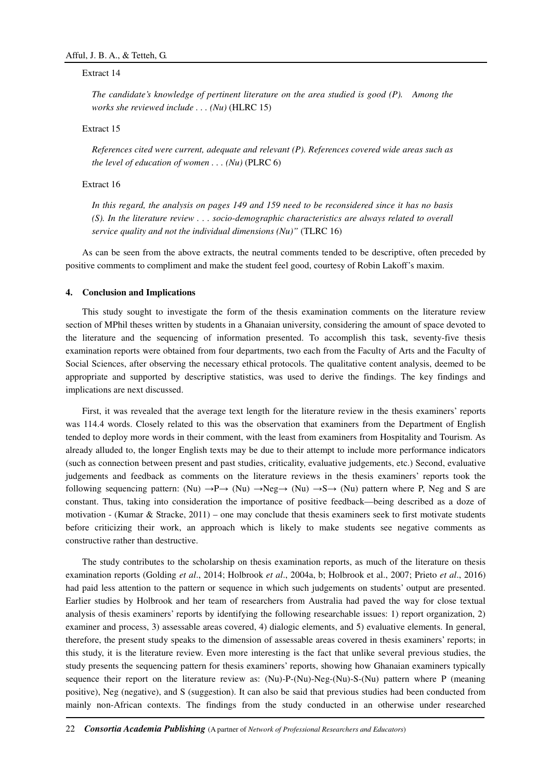#### Extract 14

*The candidate's knowledge of pertinent literature on the area studied is good (P). Among the works she reviewed include . . . (Nu)* (HLRC 15)

# Extract 15

*References cited were current, adequate and relevant (P). References covered wide areas such as the level of education of women . . . (Nu)* (PLRC 6)

## Extract 16

*In this regard, the analysis on pages 149 and 159 need to be reconsidered since it has no basis (S). In the literature review . . . socio-demographic characteristics are always related to overall service quality and not the individual dimensions (Nu)"* (TLRC 16)

As can be seen from the above extracts, the neutral comments tended to be descriptive, often preceded by positive comments to compliment and make the student feel good, courtesy of Robin Lakoff's maxim.

#### **4. Conclusion and Implications**

This study sought to investigate the form of the thesis examination comments on the literature review section of MPhil theses written by students in a Ghanaian university, considering the amount of space devoted to the literature and the sequencing of information presented. To accomplish this task, seventy-five thesis examination reports were obtained from four departments, two each from the Faculty of Arts and the Faculty of Social Sciences, after observing the necessary ethical protocols. The qualitative content analysis, deemed to be appropriate and supported by descriptive statistics, was used to derive the findings. The key findings and implications are next discussed.

First, it was revealed that the average text length for the literature review in the thesis examiners' reports was 114.4 words. Closely related to this was the observation that examiners from the Department of English tended to deploy more words in their comment, with the least from examiners from Hospitality and Tourism. As already alluded to, the longer English texts may be due to their attempt to include more performance indicators (such as connection between present and past studies, criticality, evaluative judgements, etc.) Second, evaluative judgements and feedback as comments on the literature reviews in the thesis examiners' reports took the following sequencing pattern: (Nu)  $\rightarrow P \rightarrow$  (Nu)  $\rightarrow$ Neg $\rightarrow$  (Nu)  $\rightarrow$ S $\rightarrow$  (Nu) pattern where P, Neg and S are constant. Thus, taking into consideration the importance of positive feedback—being described as a doze of motivation - (Kumar & Stracke, 2011) – one may conclude that thesis examiners seek to first motivate students before criticizing their work, an approach which is likely to make students see negative comments as constructive rather than destructive.

The study contributes to the scholarship on thesis examination reports, as much of the literature on thesis examination reports (Golding *et al*., 2014; Holbrook *et al*., 2004a, b; Holbrook et al., 2007; Prieto *et al*., 2016) had paid less attention to the pattern or sequence in which such judgements on students' output are presented. Earlier studies by Holbrook and her team of researchers from Australia had paved the way for close textual analysis of thesis examiners' reports by identifying the following researchable issues: 1) report organization, 2) examiner and process, 3) assessable areas covered, 4) dialogic elements, and 5) evaluative elements. In general, therefore, the present study speaks to the dimension of assessable areas covered in thesis examiners' reports; in this study, it is the literature review. Even more interesting is the fact that unlike several previous studies, the study presents the sequencing pattern for thesis examiners' reports, showing how Ghanaian examiners typically sequence their report on the literature review as: (Nu)-P-(Nu)-Neg-(Nu)-S-(Nu) pattern where P (meaning positive), Neg (negative), and S (suggestion). It can also be said that previous studies had been conducted from mainly non-African contexts. The findings from the study conducted in an otherwise under researched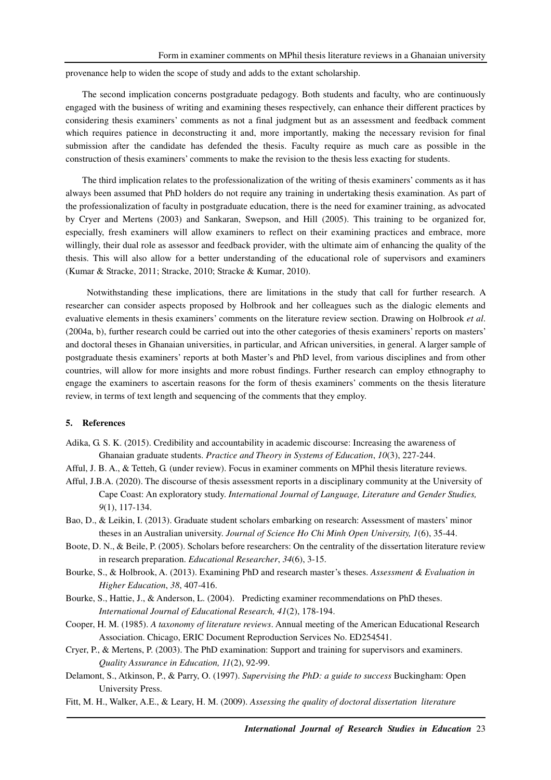provenance help to widen the scope of study and adds to the extant scholarship.

The second implication concerns postgraduate pedagogy. Both students and faculty, who are continuously engaged with the business of writing and examining theses respectively, can enhance their different practices by considering thesis examiners' comments as not a final judgment but as an assessment and feedback comment which requires patience in deconstructing it and, more importantly, making the necessary revision for final submission after the candidate has defended the thesis. Faculty require as much care as possible in the construction of thesis examiners' comments to make the revision to the thesis less exacting for students.

The third implication relates to the professionalization of the writing of thesis examiners' comments as it has always been assumed that PhD holders do not require any training in undertaking thesis examination. As part of the professionalization of faculty in postgraduate education, there is the need for examiner training, as advocated by Cryer and Mertens (2003) and Sankaran, Swepson, and Hill (2005). This training to be organized for, especially, fresh examiners will allow examiners to reflect on their examining practices and embrace, more willingly, their dual role as assessor and feedback provider, with the ultimate aim of enhancing the quality of the thesis. This will also allow for a better understanding of the educational role of supervisors and examiners (Kumar & Stracke, 2011; Stracke, 2010; Stracke & Kumar, 2010).

 Notwithstanding these implications, there are limitations in the study that call for further research. A researcher can consider aspects proposed by Holbrook and her colleagues such as the dialogic elements and evaluative elements in thesis examiners' comments on the literature review section. Drawing on Holbrook *et al*. (2004a, b), further research could be carried out into the other categories of thesis examiners' reports on masters' and doctoral theses in Ghanaian universities, in particular, and African universities, in general. A larger sample of postgraduate thesis examiners' reports at both Master's and PhD level, from various disciplines and from other countries, will allow for more insights and more robust findings. Further research can employ ethnography to engage the examiners to ascertain reasons for the form of thesis examiners' comments on the thesis literature review, in terms of text length and sequencing of the comments that they employ.

## **5. References**

- Adika, G. S. K. (2015). Credibility and accountability in academic discourse: Increasing the awareness of Ghanaian graduate students. *Practice and Theory in Systems of Education*, *10*(3), 227-244.
- Afful, J. B. A., & Tetteh, G. (under review). Focus in examiner comments on MPhil thesis literature reviews.
- Afful, J.B.A. (2020). The discourse of thesis assessment reports in a disciplinary community at the University of Cape Coast: An exploratory study. *International Journal of Language, Literature and Gender Studies, 9*(1), 117-134.
- Bao, D., & Leikin, I. (2013). Graduate student scholars embarking on research: Assessment of masters' minor theses in an Australian university. *Journal of Science Ho Chi Minh Open University, 1*(6), 35-44.
- Boote, D. N., & Beile, P. (2005). Scholars before researchers: On the centrality of the dissertation literature review in research preparation. *Educational Researcher*, *34*(6), 3-15.
- Bourke, S., & Holbrook, A. (2013). Examining PhD and research master's theses. *Assessment & Evaluation in Higher Education*, *38*, 407-416.
- Bourke, S., Hattie, J., & Anderson, L. (2004). Predicting examiner recommendations on PhD theses. *International Journal of Educational Research, 41*(2), 178-194.
- Cooper, H. M. (1985). *A taxonomy of literature reviews*. Annual meeting of the American Educational Research Association. Chicago, ERIC Document Reproduction Services No. ED254541.
- Cryer, P., & Mertens, P. (2003). The PhD examination: Support and training for supervisors and examiners. *Quality Assurance in Education, 11*(2), 92-99.
- Delamont, S., Atkinson, P., & Parry, O. (1997). *Supervising the PhD: a guide to success* Buckingham: Open University Press.
- Fitt, M. H., Walker, A.E., & Leary, H. M. (2009). *Assessing the quality of doctoral dissertation literature*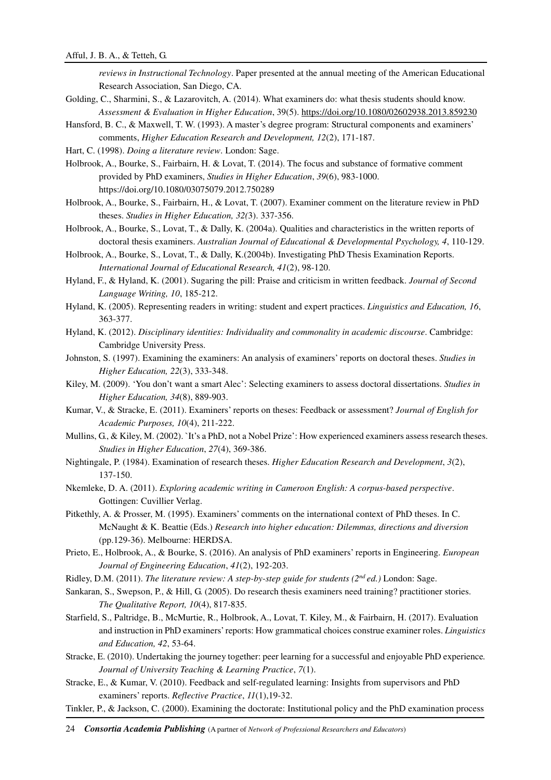*reviews in Instructional Technology*. Paper presented at the annual meeting of the American Educational Research Association, San Diego, CA.

- Golding, C., Sharmini, S., & Lazarovitch, A. (2014). What examiners do: what thesis students should know. *Assessment & Evaluation in Higher Education*, 39(5). https://doi.org/10.1080/02602938.2013.859230
- Hansford, B. C., & Maxwell, T. W. (1993). A master's degree program: Structural components and examiners' comments, *Higher Education Research and Development, 12*(2), 171-187.
- Hart, C. (1998). *Doing a literature review*. London: Sage.
- Holbrook, A., Bourke, S., Fairbairn, H. & Lovat, T. (2014). The focus and substance of formative comment provided by PhD examiners, *Studies in Higher Education*, *39*(6), 983-1000. https://doi.org/10.1080/03075079.2012.750289
- Holbrook, A., Bourke, S., Fairbairn, H., & Lovat, T. (2007). Examiner comment on the literature review in PhD theses. *Studies in Higher Education, 32(*3). 337-356.
- Holbrook, A., Bourke, S., Lovat, T., & Dally, K. (2004a). Qualities and characteristics in the written reports of doctoral thesis examiners. *Australian Journal of Educational & Developmental Psychology, 4*, 110-129.
- Holbrook, A., Bourke, S., Lovat, T., & Dally, K.(2004b). Investigating PhD Thesis Examination Reports. *International Journal of Educational Research, 41*(2), 98-120.
- Hyland, F., & Hyland, K. (2001). Sugaring the pill: Praise and criticism in written feedback. *Journal of Second Language Writing, 10*, 185-212.
- Hyland, K. (2005). Representing readers in writing: student and expert practices. *Linguistics and Education, 16*, 363-377.
- Hyland, K. (2012). *Disciplinary identities: Individuality and commonality in academic discourse*. Cambridge: Cambridge University Press.
- Johnston, S. (1997). Examining the examiners: An analysis of examiners' reports on doctoral theses. *Studies in Higher Education, 22*(3), 333-348.
- Kiley, M. (2009). 'You don't want a smart Alec': Selecting examiners to assess doctoral dissertations. *Studies in Higher Education, 34*(8), 889-903.
- Kumar, V., & Stracke, E. (2011). Examiners' reports on theses: Feedback or assessment? *Journal of English for Academic Purposes, 10*(4), 211-222.
- Mullins, G., & Kiley, M. (2002). `It's a PhD, not a Nobel Prize': How experienced examiners assess research theses. *Studies in Higher Education*, *27*(4), 369-386.
- Nightingale, P. (1984). Examination of research theses. *Higher Education Research and Development*, *3*(2), 137-150.
- Nkemleke, D. A. (2011). *Exploring academic writing in Cameroon English: A corpus-based perspective*. Gottingen: Cuvillier Verlag.
- Pitkethly, A. & Prosser, M. (1995). Examiners' comments on the international context of PhD theses. In C. McNaught & K. Beattie (Eds.) *Research into higher education: Dilemmas, directions and diversion* (pp.129-36). Melbourne: HERDSA.
- Prieto, E., Holbrook, A., & Bourke, S. (2016). An analysis of PhD examiners' reports in Engineering. *European Journal of Engineering Education*, *41*(2), 192-203.
- Ridley, D.M. (2011). *The literature review: A step-by-step guide for students (2nd ed.)* London: Sage.
- Sankaran, S., Swepson, P., & Hill, G. (2005). Do research thesis examiners need training? practitioner stories. *The Qualitative Report, 10*(4), 817-835.
- Starfield, S., Paltridge, B., McMurtie, R., Holbrook, A., Lovat, T. Kiley, M., & Fairbairn, H. (2017). Evaluation and instruction in PhD examiners' reports: How grammatical choices construe examiner roles. *Linguistics and Education, 42*, 53-64.
- Stracke, E. (2010). Undertaking the journey together: peer learning for a successful and enjoyable PhD experience*. Journal of University Teaching & Learning Practice*, *7*(1).
- Stracke, E., & Kumar, V. (2010). Feedback and self-regulated learning: Insights from supervisors and PhD examiners' reports. *Reflective Practice*, *11*(1),19-32.
- Tinkler, P., & Jackson, C. (2000). Examining the doctorate: Institutional policy and the PhD examination process
- 24 *Consortia Academia Publishing* (A partner of *Network of Professional Researchers and Educators*)